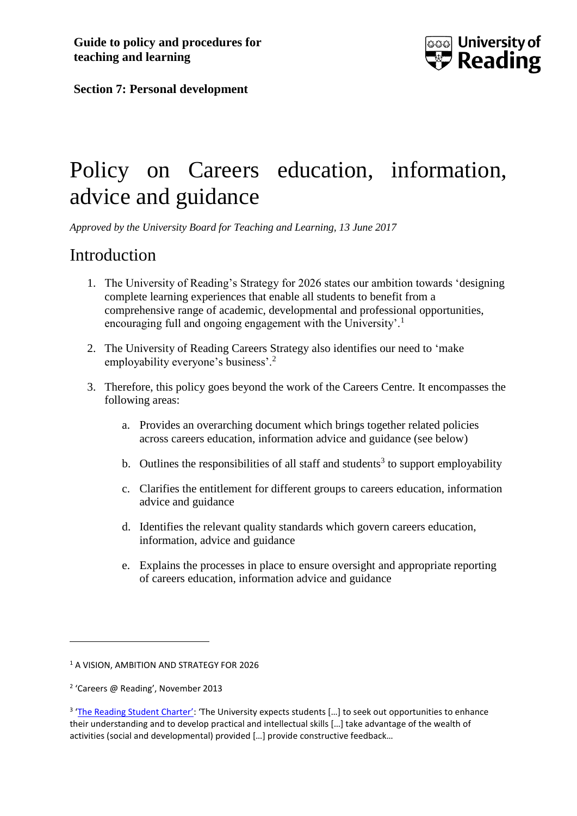

**Section 7: Personal development** 

# Policy on Careers education, information, advice and guidance

*Approved by the University Board for Teaching and Learning, 13 June 2017*

#### Introduction

- 1. The University of Reading's Strategy for 2026 states our ambition towards 'designing complete learning experiences that enable all students to benefit from a comprehensive range of academic, developmental and professional opportunities, encouraging full and ongoing engagement with the University'.<sup>1</sup>
- 2. The University of Reading Careers Strategy also identifies our need to 'make employability everyone's business'.<sup>2</sup>
- 3. Therefore, this policy goes beyond the work of the Careers Centre. It encompasses the following areas:
	- a. Provides an overarching document which brings together related policies across careers education, information advice and guidance (see below)
	- b. Outlines the responsibilities of all staff and students<sup>3</sup> to support employability
	- c. Clarifies the entitlement for different groups to careers education, information advice and guidance
	- d. Identifies the relevant quality standards which govern careers education, information, advice and guidance
	- e. Explains the processes in place to ensure oversight and appropriate reporting of careers education, information advice and guidance

1

<sup>&</sup>lt;sup>1</sup> A VISION, AMBITION AND STRATEGY FOR 2026

<sup>2</sup> 'Careers @ Reading', November 2013

<sup>&</sup>lt;sup>3</sup> ['The Reading Student Charter':](http://www.reading.ac.uk/internal/student/OnlineStudentHandbook/osh-student-charter.aspx) 'The University expects students [...] to seek out opportunities to enhance their understanding and to develop practical and intellectual skills […] take advantage of the wealth of activities (social and developmental) provided [...] provide constructive feedback...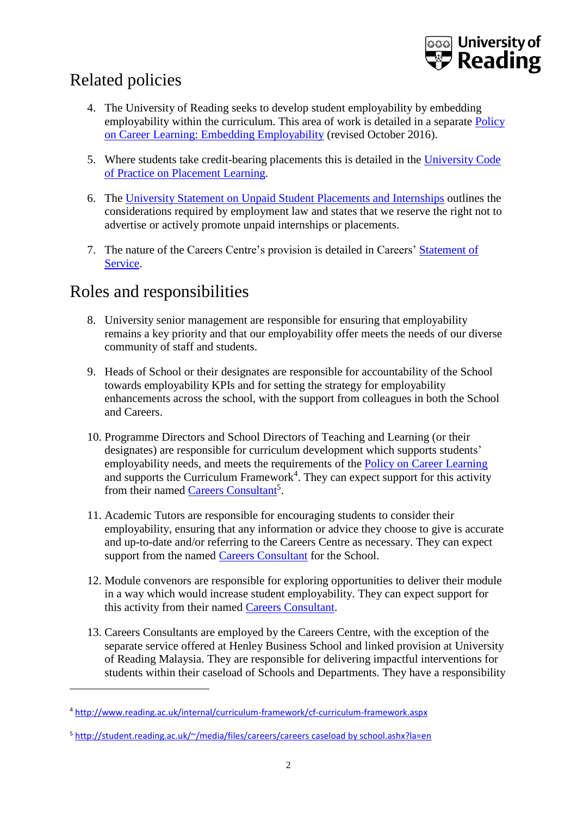

## Related policies

- 4. The University of Reading seeks to develop student employability by embedding employability within the curriculum. This area of work is detailed in a separate [Policy](http://www.reading.ac.uk/web/files/qualitysupport/Career_learning_policy_2016.pdf))  [on Career Learning: Embedding Employability](http://www.reading.ac.uk/web/files/qualitysupport/Career_learning_policy_2016.pdf)) (revised October 2016).
- 5. Where students take credit-bearing placements this is detailed in the [University Code](http://www.reading.ac.uk/nmsruntime/saveasdialog.aspx?lID=21095&sID=87193)  [of Practice on Placement Learning.](http://www.reading.ac.uk/nmsruntime/saveasdialog.aspx?lID=21095&sID=87193)
- 6. The [University Statement on Unpaid Student Placements and Internships](http://www.reading.ac.uk/web/files/cqsd/University_statement_on_unpaid_Student_Internships.pdf) outlines the considerations required by employment law and states that we reserve the right not to advertise or actively promote unpaid internships or placements.
- 7. The nature of the Careers Centre's provision is detailed in Careers' [Statement of](http://student.reading.ac.uk/~/media/careers/careers%20sos%202017.ashx?la=en)  [Service.](http://student.reading.ac.uk/~/media/careers/careers%20sos%202017.ashx?la=en)

#### Roles and responsibilities

<u>.</u>

- 8. University senior management are responsible for ensuring that employability remains a key priority and that our employability offer meets the needs of our diverse community of staff and students.
- 9. Heads of School or their designates are responsible for accountability of the School towards employability KPIs and for setting the strategy for employability enhancements across the school, with the support from colleagues in both the School and Careers.
- 10. Programme Directors and School Directors of Teaching and Learning (or their designates) are responsible for curriculum development which supports students' employability needs, and meets the requirements of the [Policy on Career Learning](http://www.reading.ac.uk/web/files/qualitysupport/Career_learning_policy_2016.pdf)) and supports the Curriculum Framework<sup>4</sup>. They can expect support for this activity from their named [Careers Consultant](http://student.reading.ac.uk/~/media/files/careers/careers%20caseload%20by%20school.ashx?la=en)<sup>5</sup>.
- 11. Academic Tutors are responsible for encouraging students to consider their employability, ensuring that any information or advice they choose to give is accurate and up-to-date and/or referring to the Careers Centre as necessary. They can expect support from the named [Careers Consultant](http://student.reading.ac.uk/~/media/files/careers/careers%20caseload%20by%20school.ashx?la=en) for the School.
- 12. Module convenors are responsible for exploring opportunities to deliver their module in a way which would increase student employability. They can expect support for this activity from their named [Careers Consultant.](http://student.reading.ac.uk/~/media/files/careers/careers%20caseload%20by%20school.ashx?la=en)
- 13. Careers Consultants are employed by the Careers Centre, with the exception of the separate service offered at Henley Business School and linked provision at University of Reading Malaysia. They are responsible for delivering impactful interventions for students within their caseload of Schools and Departments. They have a responsibility

<sup>4</sup> <http://www.reading.ac.uk/internal/curriculum-framework/cf-curriculum-framework.aspx>

<sup>5</sup> [http://student.reading.ac.uk/~/media/files/careers/careers caseload by school.ashx?la=en](http://student.reading.ac.uk/~/media/files/careers/careers%20caseload%20by%20school.ashx?la=en)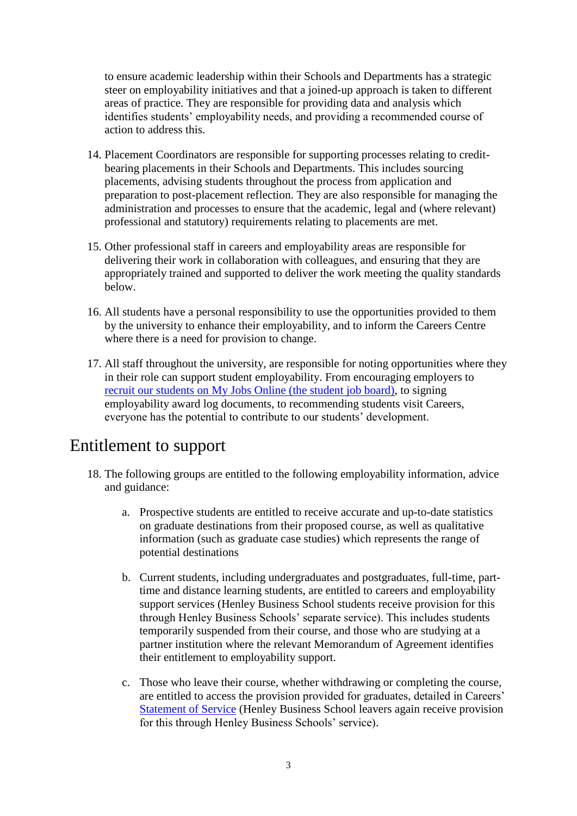to ensure academic leadership within their Schools and Departments has a strategic steer on employability initiatives and that a joined-up approach is taken to different areas of practice. They are responsible for providing data and analysis which identifies students' employability needs, and providing a recommended course of action to address this.

- 14. Placement Coordinators are responsible for supporting processes relating to creditbearing placements in their Schools and Departments. This includes sourcing placements, advising students throughout the process from application and preparation to post-placement reflection. They are also responsible for managing the administration and processes to ensure that the academic, legal and (where relevant) professional and statutory) requirements relating to placements are met.
- 15. Other professional staff in careers and employability areas are responsible for delivering their work in collaboration with colleagues, and ensuring that they are appropriately trained and supported to deliver the work meeting the quality standards below.
- 16. All students have a personal responsibility to use the opportunities provided to them by the university to enhance their employability, and to inform the Careers Centre where there is a need for provision to change.
- 17. All staff throughout the university, are responsible for noting opportunities where they in their role can support student employability. From encouraging employers to [recruit our students on My Jobs Online \(the student job board\),](http://www.reading.ac.uk/careers/employer/submit.asp) to signing employability award log documents, to recommending students visit Careers, everyone has the potential to contribute to our students' development.

#### Entitlement to support

- 18. The following groups are entitled to the following employability information, advice and guidance:
	- a. Prospective students are entitled to receive accurate and up-to-date statistics on graduate destinations from their proposed course, as well as qualitative information (such as graduate case studies) which represents the range of potential destinations
	- b. Current students, including undergraduates and postgraduates, full-time, parttime and distance learning students, are entitled to careers and employability support services (Henley Business School students receive provision for this through Henley Business Schools' separate service). This includes students temporarily suspended from their course, and those who are studying at a partner institution where the relevant Memorandum of Agreement identifies their entitlement to employability support.
	- c. Those who leave their course, whether withdrawing or completing the course, are entitled to access the provision provided for graduates, detailed in Careers' [Statement of Service](http://student.reading.ac.uk/~/media/careers/careers%20sos%202017.ashx?la=en) (Henley Business School leavers again receive provision for this through Henley Business Schools' service).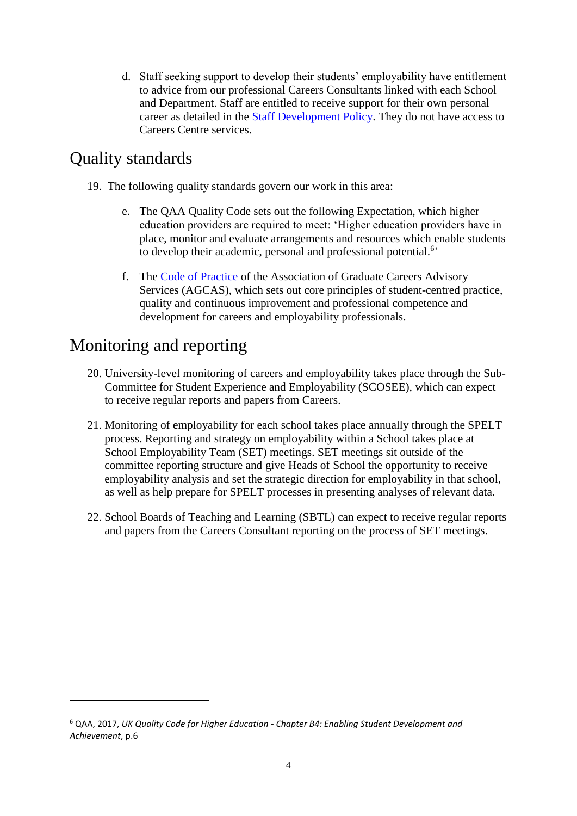d. Staff seeking support to develop their students' employability have entitlement to advice from our professional Careers Consultants linked with each School and Department. Staff are entitled to receive support for their own personal career as detailed in the [Staff Development Policy.](http://www.reading.ac.uk/internal/humanresources/WorkingatReading/humres-staffdev.aspx) They do not have access to Careers Centre services.

### Quality standards

- 19. The following quality standards govern our work in this area:
	- e. The QAA Quality Code sets out the following Expectation, which higher education providers are required to meet: 'Higher education providers have in place, monitor and evaluate arrangements and resources which enable students to develop their academic, personal and professional potential.<sup>6</sup>
	- f. The [Code of Practice](http://www.agcas.org.uk/pages/quality) of the Association of Graduate Careers Advisory Services (AGCAS), which sets out core principles of student-centred practice, quality and continuous improvement and professional competence and development for careers and employability professionals.

#### Monitoring and reporting

<u>.</u>

- 20. University-level monitoring of careers and employability takes place through the Sub-Committee for Student Experience and Employability (SCOSEE), which can expect to receive regular reports and papers from Careers.
- 21. Monitoring of employability for each school takes place annually through the SPELT process. Reporting and strategy on employability within a School takes place at School Employability Team (SET) meetings. SET meetings sit outside of the committee reporting structure and give Heads of School the opportunity to receive employability analysis and set the strategic direction for employability in that school, as well as help prepare for SPELT processes in presenting analyses of relevant data.
- 22. School Boards of Teaching and Learning (SBTL) can expect to receive regular reports and papers from the Careers Consultant reporting on the process of SET meetings.

<sup>6</sup> QAA, 2017, *UK Quality Code for Higher Education - Chapter B4: Enabling Student Development and Achievement*, p.6